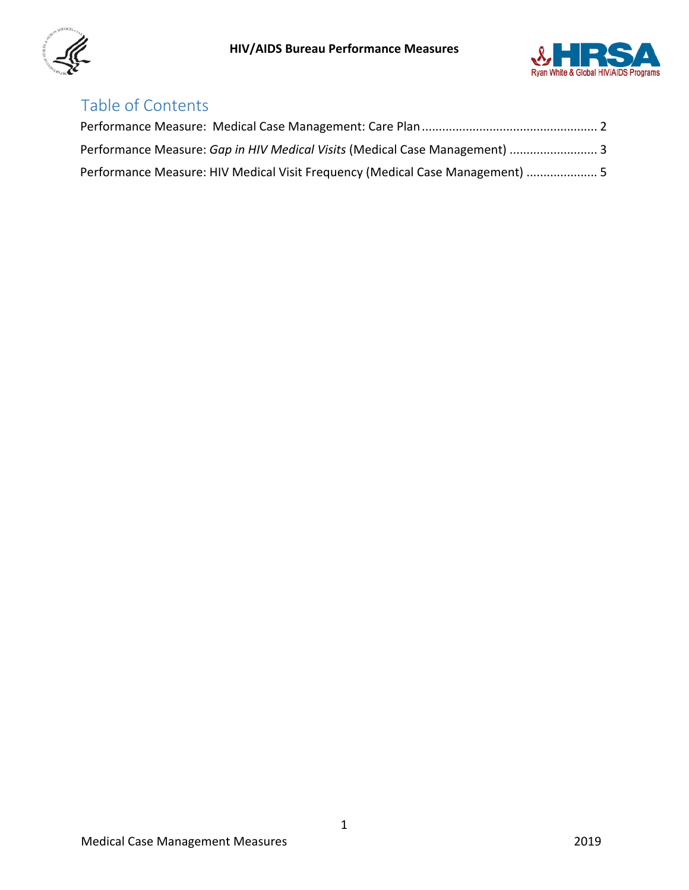



# Table of Contents

| Performance Measure: Gap in HIV Medical Visits (Medical Case Management)  3   |  |
|-------------------------------------------------------------------------------|--|
| Performance Measure: HIV Medical Visit Frequency (Medical Case Management)  5 |  |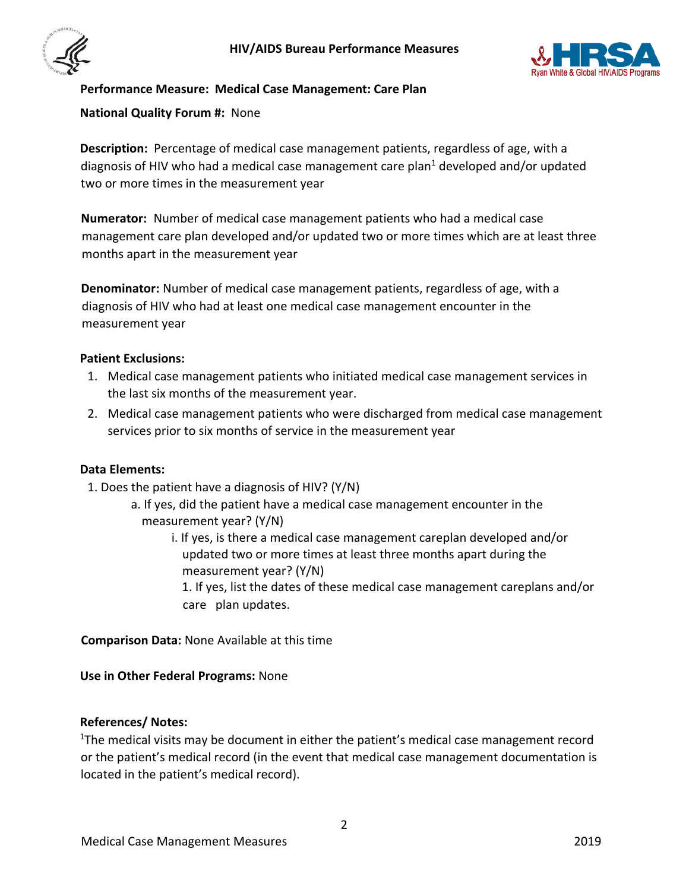



### <span id="page-1-0"></span>**Performance Measure: Medical Case Management: Care Plan**

### **National Quality Forum #:** None

**Description:** Percentage of medical case management patients, regardless of age, with a diagnosis of HIV who had a medical case management care plan $1$  developed and/or updated two or more times in the measurement year

**Numerator:** Number of medical case management patients who had a medical case management care plan developed and/or updated two or more times which are at least three months apart in the measurement year

**Denominator:** Number of medical case management patients, regardless of age, with a diagnosis of HIV who had at least one medical case management encounter in the measurement year

### **Patient Exclusions:**

- 1. Medical case management patients who initiated medical case management services in the last six months of the measurement year.
- 2. Medical case management patients who were discharged from medical case management services prior to six months of service in the measurement year

### **Data Elements:**

- 1. Does the patient have a diagnosis of HIV? (Y/N)
	- a. If yes, did the patient have a medical case management encounter in the measurement year? (Y/N)
		- i. If yes, is there a medical case management careplan developed and/or updated two or more times at least three months apart during the measurement year? (Y/N)
			- 1. If yes, list the dates of these medical case management careplans and/or care plan updates.

**Comparison Data:** None Available at this time

**Use in Other Federal Programs:** None

### **References/ Notes:**

<sup>1</sup>The medical visits may be document in either the patient's medical case management record or the patient's medical record (in the event that medical case management documentation is located in the patient's medical record).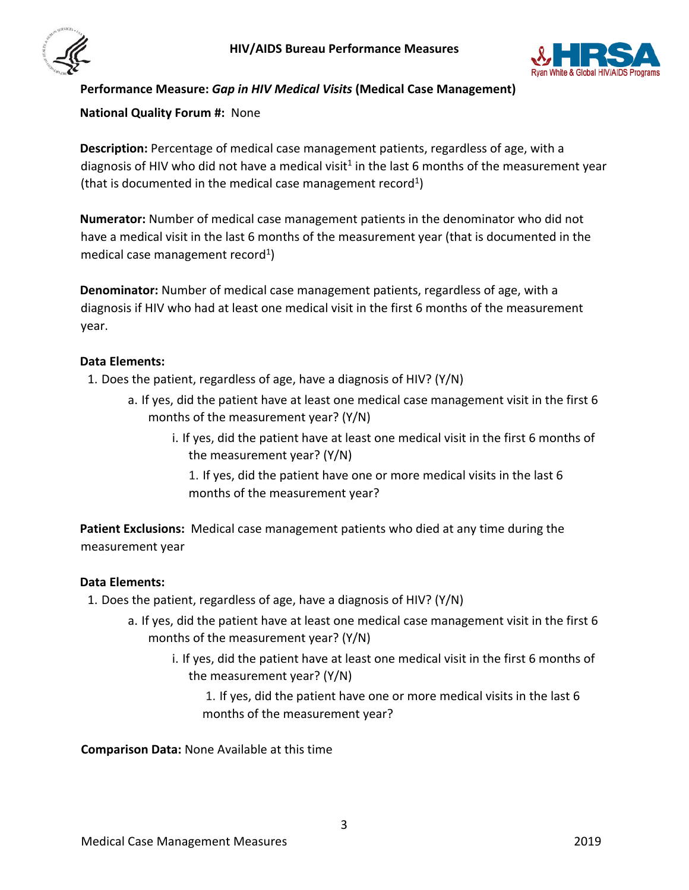



# <span id="page-2-0"></span>**Performance Measure:** *Gap in HIV Medical Visits* **(Medical Case Management)**

### **National Quality Forum #:** None

**Description:** Percentage of medical case management patients, regardless of age, with a diagnosis of HIV who did not have a medical visit<sup>1</sup> in the last 6 months of the measurement year (that is documented in the medical case management record<sup>1</sup>)

**Numerator:** Number of medical case management patients in the denominator who did not have a medical visit in the last 6 months of the measurement year (that is documented in the medical case management record<sup>1</sup>)

**Denominator:** Number of medical case management patients, regardless of age, with a diagnosis if HIV who had at least one medical visit in the first 6 months of the measurement year.

### **Data Elements:**

1. Does the patient, regardless of age, have a diagnosis of HIV? (Y/N)

- a. If yes, did the patient have at least one medical case management visit in the first 6 months of the measurement year? (Y/N)
	- i. If yes, did the patient have at least one medical visit in the first 6 months of the measurement year? (Y/N)

1. If yes, did the patient have one or more medical visits in the last 6 months of the measurement year?

**Patient Exclusions:** Medical case management patients who died at any time during the measurement year

#### **Data Elements:**

- 1. Does the patient, regardless of age, have a diagnosis of HIV? (Y/N)
	- a. If yes, did the patient have at least one medical case management visit in the first 6 months of the measurement year? (Y/N)
		- i. If yes, did the patient have at least one medical visit in the first 6 months of the measurement year? (Y/N)

1. If yes, did the patient have one or more medical visits in the last 6 months of the measurement year?

**Comparison Data:** None Available at this time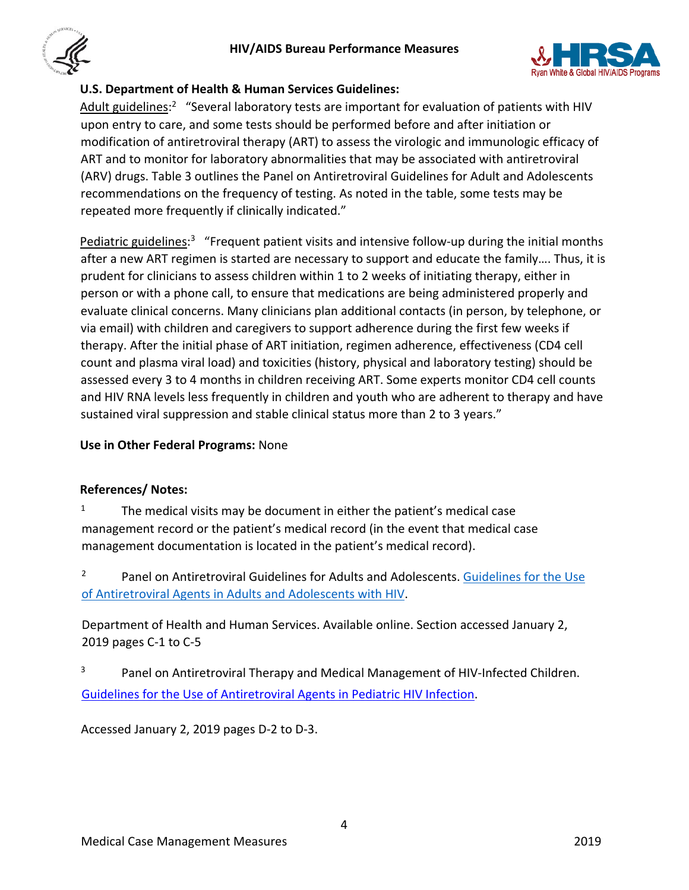



# **U.S. Department of Health & Human Services Guidelines:**

Adult guidelines:<sup>2</sup> "Several laboratory tests are important for evaluation of patients with HIV upon entry to care, and some tests should be performed before and after initiation or modification of antiretroviral therapy (ART) to assess the virologic and immunologic efficacy of ART and to monitor for laboratory abnormalities that may be associated with antiretroviral (ARV) drugs. Table 3 outlines the Panel on Antiretroviral Guidelines for Adult and Adolescents recommendations on the frequency of testing. As noted in the table, some tests may be repeated more frequently if clinically indicated."

Pediatric guidelines:<sup>3</sup> "Frequent patient visits and intensive follow-up during the initial months after a new ART regimen is started are necessary to support and educate the family…. Thus, it is prudent for clinicians to assess children within 1 to 2 weeks of initiating therapy, either in person or with a phone call, to ensure that medications are being administered properly and evaluate clinical concerns. Many clinicians plan additional contacts (in person, by telephone, or via email) with children and caregivers to support adherence during the first few weeks if therapy. After the initial phase of ART initiation, regimen adherence, effectiveness (CD4 cell count and plasma viral load) and toxicities (history, physical and laboratory testing) should be assessed every 3 to 4 months in children receiving ART. Some experts monitor CD4 cell counts and HIV RNA levels less frequently in children and youth who are adherent to therapy and have sustained viral suppression and stable clinical status more than 2 to 3 years."

# **Use in Other Federal Programs:** None

# **References/ Notes:**

- <sup>1</sup> The medical visits may be document in either the patient's medical case management record or the patient's medical record (in the event that medical case management documentation is located in the patient's medical record).
- <sup>2</sup> Panel on Antiretroviral Guidelines for Adults and Adolescents. Guidelines for the Use [of Antiretroviral Agents in Adults and Adolescents with HIV.](https://aidsinfo.nih.gov/contentfiles/lvguidelines/adultandadolescentgl.pdf)

Department of Health and Human Services. Available online. Section accessed January 2, 2019 pages C-1 to C-5

<sup>3</sup>Panel on Antiretroviral Therapy and Medical Management of HIV-Infected Children. [Guidelines for](http://aidsinfo.nih.gov/contentfiles/lvguidelines/pediatricguidelines.pdf) [the Use of Antiretroviral Agents in Pediatric HIV Infection.](http://aidsinfo.nih.gov/contentfiles/lvguidelines/pediatricguidelines.pdf) 

Accessed January 2, 2019 pages D-2 to D-3.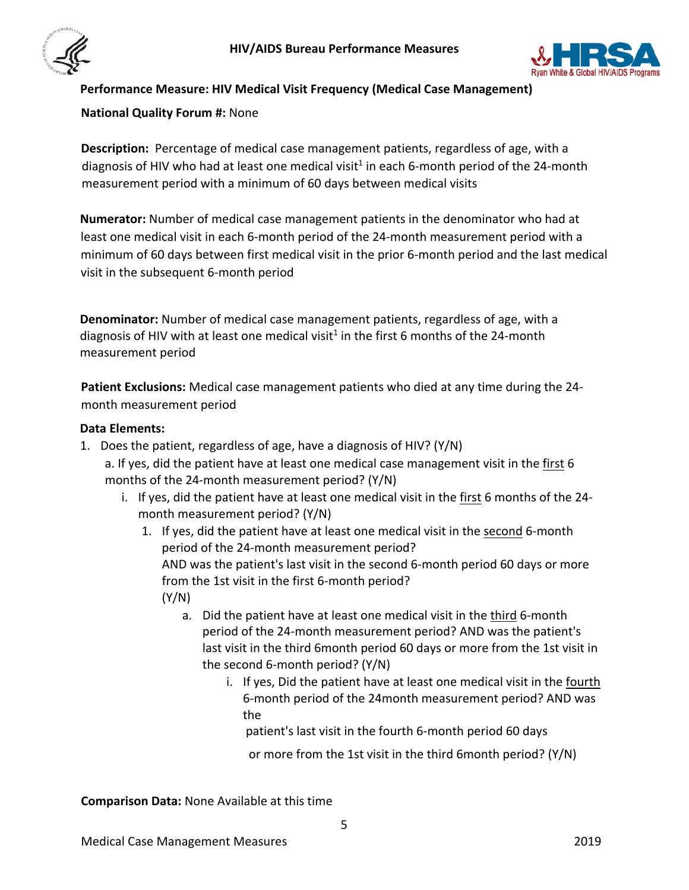



# <span id="page-4-0"></span>**Performance Measure: HIV Medical Visit Frequency (Medical Case Management)**

### **National Quality Forum #:** None

**Description:** Percentage of medical case management patients, regardless of age, with a diagnosis of HIV who had at least one medical visit<sup>1</sup> in each 6-month period of the 24-month measurement period with a minimum of 60 days between medical visits

**Numerator:** Number of medical case management patients in the denominator who had at least one medical visit in each 6-month period of the 24-month measurement period with a minimum of 60 days between first medical visit in the prior 6-month period and the last medical visit in the subsequent 6-month period

**Denominator:** Number of medical case management patients, regardless of age, with a diagnosis of HIV with at least one medical visit<sup>1</sup> in the first 6 months of the 24-month measurement period

**Patient Exclusions:** Medical case management patients who died at any time during the 24 month measurement period

### **Data Elements:**

- 1. Does the patient, regardless of age, have a diagnosis of HIV? (Y/N)
	- a. If yes, did the patient have at least one medical case management visit in the first 6 months of the 24-month measurement period? (Y/N)
		- i. If yes, did the patient have at least one medical visit in the first 6 months of the 24 month measurement period? (Y/N)
			- 1. If yes, did the patient have at least one medical visit in the second 6-month period of the 24-month measurement period? AND was the patient's last visit in the second 6-month period 60 days or more from the 1st visit in the first 6-month period? (Y/N)
				- a. Did the patient have at least one medical visit in the third 6-month period of the 24-month measurement period? AND was the patient's last visit in the third 6month period 60 days or more from the 1st visit in the second 6-month period? (Y/N)
					- i. If yes, Did the patient have at least one medical visit in the fourth 6-month period of the 24month measurement period? AND was the

patient's last visit in the fourth 6-month period 60 days

or more from the 1st visit in the third 6month period? (Y/N)

**Comparison Data:** None Available at this time